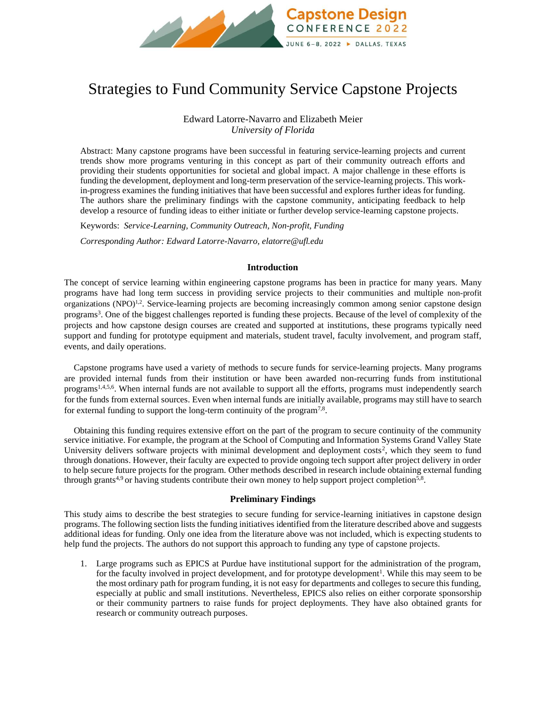

# Strategies to Fund Community Service Capstone Projects

Edward Latorre-Navarro and Elizabeth Meier *University of Florida*

Abstract: Many capstone programs have been successful in featuring service-learning projects and current trends show more programs venturing in this concept as part of their community outreach efforts and providing their students opportunities for societal and global impact. A major challenge in these efforts is funding the development, deployment and long-term preservation of the service-learning projects. This workin-progress examines the funding initiatives that have been successful and explores further ideas for funding. The authors share the preliminary findings with the capstone community, anticipating feedback to help develop a resource of funding ideas to either initiate or further develop service-learning capstone projects.

Keywords: *Service-Learning, Community Outreach, Non-profit, Funding*

*Corresponding Author: Edward Latorre-Navarro, elatorre@ufl.edu*

### **Introduction**

The concept of service learning within engineering capstone programs has been in practice for many years. Many programs have had long term success in providing service projects to their communities and multiple non-profit organizations (NPO)<sup>1,2</sup>. Service-learning projects are becoming increasingly common among senior capstone design programs<sup>3</sup> . One of the biggest challenges reported is funding these projects. Because of the level of complexity of the projects and how capstone design courses are created and supported at institutions, these programs typically need support and funding for prototype equipment and materials, student travel, faculty involvement, and program staff, events, and daily operations.

Capstone programs have used a variety of methods to secure funds for service-learning projects. Many programs are provided internal funds from their institution or have been awarded non-recurring funds from institutional programs<sup>1,4,5,6</sup>. When internal funds are not available to support all the efforts, programs must independently search for the funds from external sources. Even when internal funds are initially available, programs may still have to search for external funding to support the long-term continuity of the program<sup>7,8</sup>.

Obtaining this funding requires extensive effort on the part of the program to secure continuity of the community service initiative. For example, the program at the School of Computing and Information Systems Grand Valley State University delivers software projects with minimal development and deployment costs<sup>2</sup>, which they seem to fund through donations. However, their faculty are expected to provide ongoing tech support after project delivery in order to help secure future projects for the program. Other methods described in research include obtaining external funding through grants<sup>4,9</sup> or having students contribute their own money to help support project completion<sup>5,8</sup>.

## **Preliminary Findings**

This study aims to describe the best strategies to secure funding for service-learning initiatives in capstone design programs. The following section lists the funding initiatives identified from the literature described above and suggests additional ideas for funding. Only one idea from the literature above was not included, which is expecting students to help fund the projects. The authors do not support this approach to funding any type of capstone projects.

1. Large programs such as EPICS at Purdue have institutional support for the administration of the program, for the faculty involved in project development, and for prototype development<sup>1</sup>. While this may seem to be the most ordinary path for program funding, it is not easy for departments and colleges to secure this funding, especially at public and small institutions. Nevertheless, EPICS also relies on either corporate sponsorship or their community partners to raise funds for project deployments. They have also obtained grants for research or community outreach purposes.